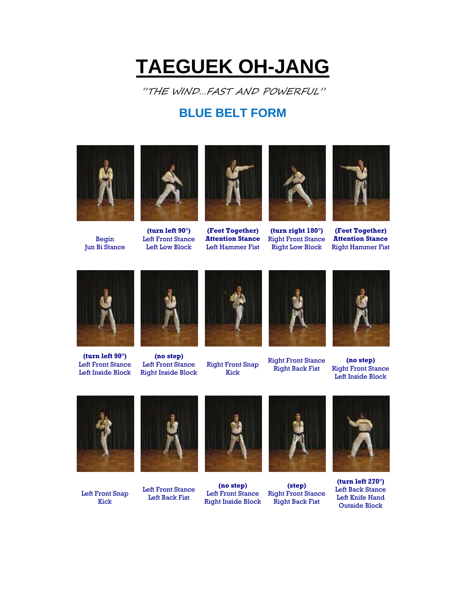## **TAEGUEK OH-JANG**

"THE WIND…FAST AND POWERFUL"

## **BLUE BELT FORM**



Begin Jun Bi Stance



**(turn left 90°)** Left Front Stance Left Low Block



**(Feet Together) Attention Stance** Left Hammer Fist



**(turn right 180°)** Right Front Stance Right Low Block



**(Feet Together) Attention Stance** Right Hammer Fist



**(turn left 90°)** Left Front Stance Left Inside Block



**(no step)** Left Front Stance Right Inside Block



Right Front Snap Kick



Right Front Stance Right Back Fist



**(no step)** Right Front Stance Left Inside Block



Left Front Snap Kick



Left Front Stance Left Back Fist



**(no step)** Left Front Stance Right Inside Block



**(step)** Right Front Stance Right Back Fist



**(turn left 270°)** Left Back Stance Left Knife Hand Outside Block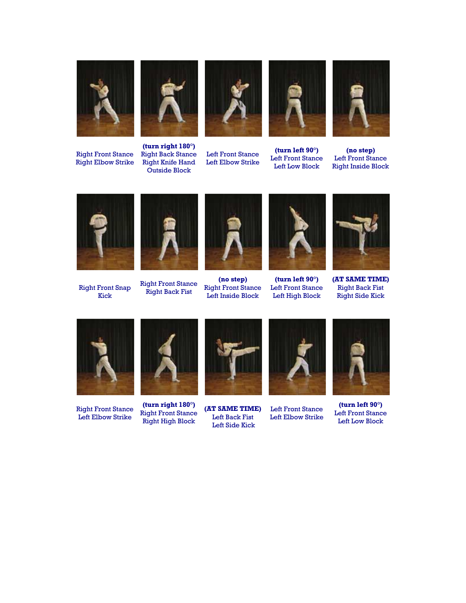

Right Front Stance Right Elbow Strike



**(turn right 180°)** Right Back Stance Right Knife Hand Outside Block



Left Front Stance Left Elbow Strike



**(turn left 90°)** Left Front Stance Left Low Block



**(no step)** Left Front Stance Right Inside Block



Right Front Snap Kick



Right Front Stance Right Back Fist



**(no step)** Right Front Stance Left Inside Block



**(turn left 90°)** Left Front Stance Left High Block



**(AT SAME TIME)** Right Back Fist Right Side Kick



Right Front Stance Left Elbow Strike



**(turn right 180°)** Right Front Stance Right High Block



**(AT SAME TIME)** Left Back Fist Left Side Kick



Left Front Stance Left Elbow Strike



**(turn left 90°)** Left Front Stance Left Low Block